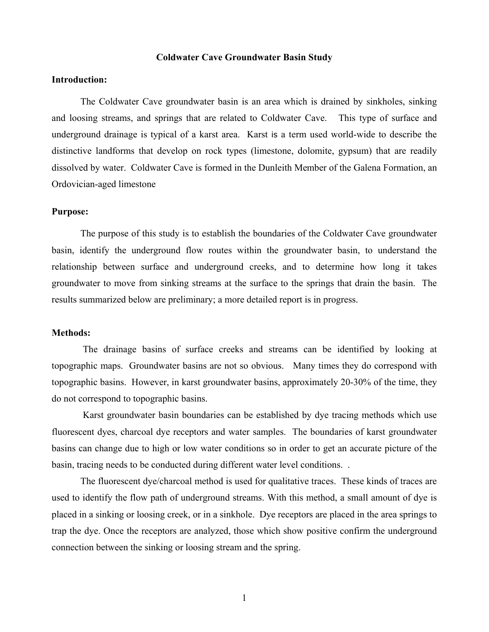#### **Coldwater Cave Groundwater Basin Study**

## **Introduction:**

The Coldwater Cave groundwater basin is an area which is drained by sinkholes, sinking and loosing streams, and springs that are related to Coldwater Cave. This type of surface and underground drainage is typical of a karst area. Karst is a term used world-wide to describe the distinctive landforms that develop on rock types (limestone, dolomite, gypsum) that are readily dissolved by water. Coldwater Cave is formed in the Dunleith Member of the Galena Formation, an Ordovician-aged limestone

#### **Purpose:**

The purpose of this study is to establish the boundaries of the Coldwater Cave groundwater basin, identify the underground flow routes within the groundwater basin, to understand the relationship between surface and underground creeks, and to determine how long it takes groundwater to move from sinking streams at the surface to the springs that drain the basin. The results summarized below are preliminary; a more detailed report is in progress.

#### **Methods:**

The drainage basins of surface creeks and streams can be identified by looking at topographic maps. Groundwater basins are not so obvious. Many times they do correspond with topographic basins. However, in karst groundwater basins, approximately 20-30% of the time, they do not correspond to topographic basins.

Karst groundwater basin boundaries can be established by dye tracing methods which use fluorescent dyes, charcoal dye receptors and water samples. The boundaries of karst groundwater basins can change due to high or low water conditions so in order to get an accurate picture of the basin, tracing needs to be conducted during different water level conditions. .

The fluorescent dye/charcoal method is used for qualitative traces. These kinds of traces are used to identify the flow path of underground streams. With this method, a small amount of dye is placed in a sinking or loosing creek, or in a sinkhole. Dye receptors are placed in the area springs to trap the dye. Once the receptors are analyzed, those which show positive confirm the underground connection between the sinking or loosing stream and the spring.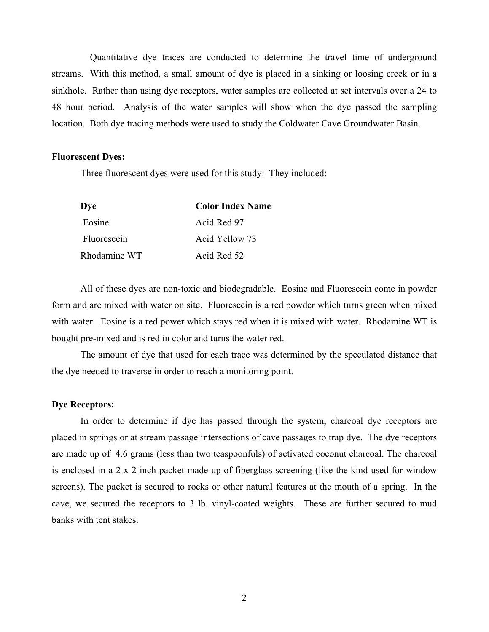Quantitative dye traces are conducted to determine the travel time of underground streams. With this method, a small amount of dye is placed in a sinking or loosing creek or in a sinkhole. Rather than using dye receptors, water samples are collected at set intervals over a 24 to 48 hour period. Analysis of the water samples will show when the dye passed the sampling location. Both dye tracing methods were used to study the Coldwater Cave Groundwater Basin.

#### **Fluorescent Dyes:**

Three fluorescent dyes were used for this study: They included:

| Dye          | <b>Color Index Name</b> |
|--------------|-------------------------|
| Eosine       | Acid Red 97             |
| Fluorescein  | Acid Yellow 73          |
| Rhodamine WT | Acid Red 52             |

All of these dyes are non-toxic and biodegradable. Eosine and Fluorescein come in powder form and are mixed with water on site. Fluorescein is a red powder which turns green when mixed with water. Eosine is a red power which stays red when it is mixed with water. Rhodamine WT is bought pre-mixed and is red in color and turns the water red.

The amount of dye that used for each trace was determined by the speculated distance that the dye needed to traverse in order to reach a monitoring point.

## **Dye Receptors:**

In order to determine if dye has passed through the system, charcoal dye receptors are placed in springs or at stream passage intersections of cave passages to trap dye. The dye receptors are made up of 4.6 grams (less than two teaspoonfuls) of activated coconut charcoal. The charcoal is enclosed in a 2 x 2 inch packet made up of fiberglass screening (like the kind used for window screens). The packet is secured to rocks or other natural features at the mouth of a spring. In the cave, we secured the receptors to 3 lb. vinyl-coated weights. These are further secured to mud banks with tent stakes.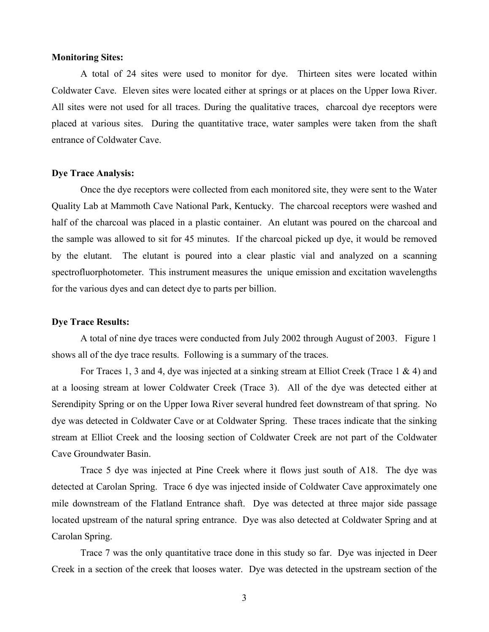#### **Monitoring Sites:**

A total of 24 sites were used to monitor for dye. Thirteen sites were located within Coldwater Cave. Eleven sites were located either at springs or at places on the Upper Iowa River. All sites were not used for all traces. During the qualitative traces, charcoal dye receptors were placed at various sites. During the quantitative trace, water samples were taken from the shaft entrance of Coldwater Cave.

## **Dye Trace Analysis:**

Once the dye receptors were collected from each monitored site, they were sent to the Water Quality Lab at Mammoth Cave National Park, Kentucky. The charcoal receptors were washed and half of the charcoal was placed in a plastic container. An elutant was poured on the charcoal and the sample was allowed to sit for 45 minutes. If the charcoal picked up dye, it would be removed by the elutant. The elutant is poured into a clear plastic vial and analyzed on a scanning spectrofluorphotometer. This instrument measures the unique emission and excitation wavelengths for the various dyes and can detect dye to parts per billion.

#### **Dye Trace Results:**

A total of nine dye traces were conducted from July 2002 through August of 2003. Figure 1 shows all of the dye trace results. Following is a summary of the traces.

For Traces 1, 3 and 4, dye was injected at a sinking stream at Elliot Creek (Trace 1 & 4) and at a loosing stream at lower Coldwater Creek (Trace 3). All of the dye was detected either at Serendipity Spring or on the Upper Iowa River several hundred feet downstream of that spring. No dye was detected in Coldwater Cave or at Coldwater Spring. These traces indicate that the sinking stream at Elliot Creek and the loosing section of Coldwater Creek are not part of the Coldwater Cave Groundwater Basin.

Trace 5 dye was injected at Pine Creek where it flows just south of A18. The dye was detected at Carolan Spring. Trace 6 dye was injected inside of Coldwater Cave approximately one mile downstream of the Flatland Entrance shaft. Dye was detected at three major side passage located upstream of the natural spring entrance. Dye was also detected at Coldwater Spring and at Carolan Spring.

Trace 7 was the only quantitative trace done in this study so far. Dye was injected in Deer Creek in a section of the creek that looses water. Dye was detected in the upstream section of the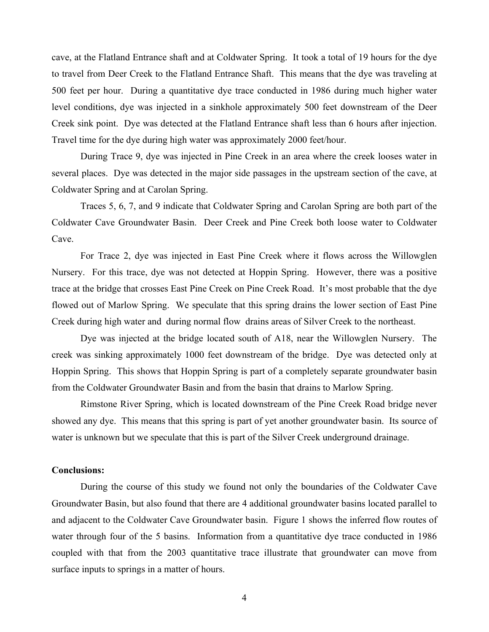cave, at the Flatland Entrance shaft and at Coldwater Spring. It took a total of 19 hours for the dye to travel from Deer Creek to the Flatland Entrance Shaft. This means that the dye was traveling at 500 feet per hour. During a quantitative dye trace conducted in 1986 during much higher water level conditions, dye was injected in a sinkhole approximately 500 feet downstream of the Deer Creek sink point. Dye was detected at the Flatland Entrance shaft less than 6 hours after injection. Travel time for the dye during high water was approximately 2000 feet/hour.

During Trace 9, dye was injected in Pine Creek in an area where the creek looses water in several places. Dye was detected in the major side passages in the upstream section of the cave, at Coldwater Spring and at Carolan Spring.

Traces 5, 6, 7, and 9 indicate that Coldwater Spring and Carolan Spring are both part of the Coldwater Cave Groundwater Basin. Deer Creek and Pine Creek both loose water to Coldwater Cave.

For Trace 2, dye was injected in East Pine Creek where it flows across the Willowglen Nursery. For this trace, dye was not detected at Hoppin Spring. However, there was a positive trace at the bridge that crosses East Pine Creek on Pine Creek Road. It's most probable that the dye flowed out of Marlow Spring. We speculate that this spring drains the lower section of East Pine Creek during high water and during normal flow drains areas of Silver Creek to the northeast.

Dye was injected at the bridge located south of A18, near the Willowglen Nursery. The creek was sinking approximately 1000 feet downstream of the bridge. Dye was detected only at Hoppin Spring. This shows that Hoppin Spring is part of a completely separate groundwater basin from the Coldwater Groundwater Basin and from the basin that drains to Marlow Spring.

Rimstone River Spring, which is located downstream of the Pine Creek Road bridge never showed any dye. This means that this spring is part of yet another groundwater basin. Its source of water is unknown but we speculate that this is part of the Silver Creek underground drainage.

## **Conclusions:**

During the course of this study we found not only the boundaries of the Coldwater Cave Groundwater Basin, but also found that there are 4 additional groundwater basins located parallel to and adjacent to the Coldwater Cave Groundwater basin. Figure 1 shows the inferred flow routes of water through four of the 5 basins. Information from a quantitative dye trace conducted in 1986 coupled with that from the 2003 quantitative trace illustrate that groundwater can move from surface inputs to springs in a matter of hours.

4